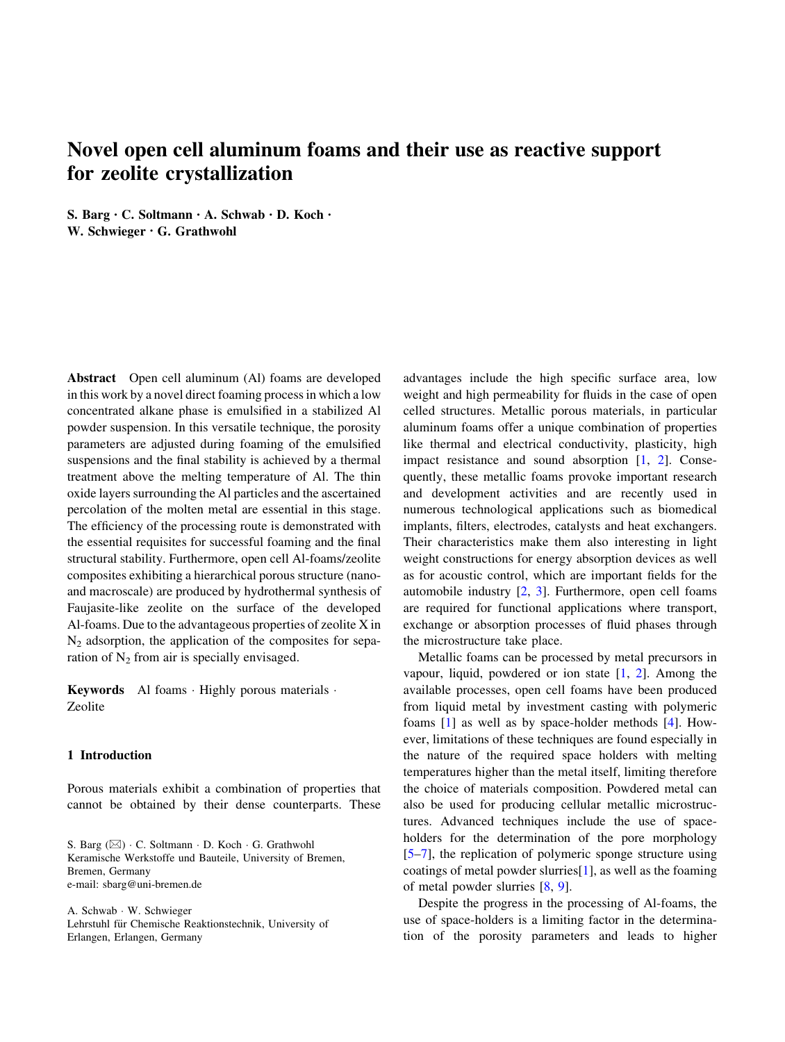# Novel open cell aluminum foams and their use as reactive support for zeolite crystallization

S. Barg • C. Soltmann • A. Schwab • D. Koch • W. Schwieger • G. Grathwohl

Abstract Open cell aluminum (Al) foams are developed in this work by a novel direct foaming processin which a low concentrated alkane phase is emulsified in a stabilized Al powder suspension. In this versatile technique, the porosity parameters are adjusted during foaming of the emulsified suspensions and the final stability is achieved by a thermal treatment above the melting temperature of Al. The thin oxide layers surrounding the Al particles and the ascertained percolation of the molten metal are essential in this stage. The efficiency of the processing route is demonstrated with the essential requisites for successful foaming and the final structural stability. Furthermore, open cell Al-foams/zeolite composites exhibiting a hierarchical porous structure (nanoand macroscale) are produced by hydrothermal synthesis of Faujasite-like zeolite on the surface of the developed Al-foams. Due to the advantageous properties of zeolite X in  $N_2$  adsorption, the application of the composites for separation of  $N_2$  from air is specially envisaged.

Keywords Al foams · Highly porous materials · Zeolite

## 1 Introduction

Porous materials exhibit a combination of properties that cannot be obtained by their dense counterparts. These

S. Barg (&) - C. Soltmann - D. Koch - G. Grathwohl Keramische Werkstoffe und Bauteile, University of Bremen, Bremen, Germany e-mail: sbarg@uni-bremen.de

A. Schwab - W. Schwieger Lehrstuhl für Chemische Reaktionstechnik, University of Erlangen, Erlangen, Germany

advantages include the high specific surface area, low weight and high permeability for fluids in the case of open celled structures. Metallic porous materials, in particular aluminum foams offer a unique combination of properties like thermal and electrical conductivity, plasticity, high impact resistance and sound absorption [[1,](#page-9-0) [2](#page-9-0)]. Consequently, these metallic foams provoke important research and development activities and are recently used in numerous technological applications such as biomedical implants, filters, electrodes, catalysts and heat exchangers. Their characteristics make them also interesting in light weight constructions for energy absorption devices as well as for acoustic control, which are important fields for the automobile industry [\[2](#page-9-0), [3\]](#page-9-0). Furthermore, open cell foams are required for functional applications where transport, exchange or absorption processes of fluid phases through the microstructure take place.

Metallic foams can be processed by metal precursors in vapour, liquid, powdered or ion state [[1,](#page-9-0) [2\]](#page-9-0). Among the available processes, open cell foams have been produced from liquid metal by investment casting with polymeric foams [[1\]](#page-9-0) as well as by space-holder methods [[4\]](#page-9-0). However, limitations of these techniques are found especially in the nature of the required space holders with melting temperatures higher than the metal itself, limiting therefore the choice of materials composition. Powdered metal can also be used for producing cellular metallic microstructures. Advanced techniques include the use of spaceholders for the determination of the pore morphology [\[5–7](#page-9-0)], the replication of polymeric sponge structure using coatings of metal powder slurries[\[1](#page-9-0)], as well as the foaming of metal powder slurries [[8,](#page-9-0) [9\]](#page-9-0).

Despite the progress in the processing of Al-foams, the use of space-holders is a limiting factor in the determination of the porosity parameters and leads to higher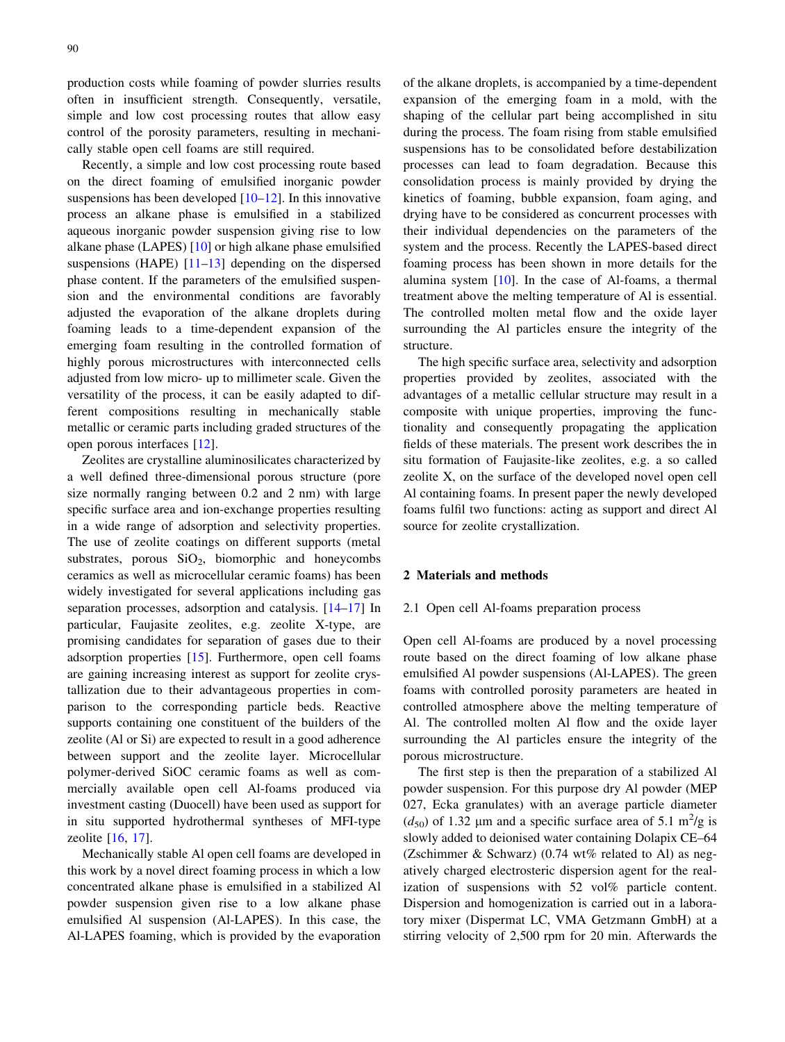production costs while foaming of powder slurries results often in insufficient strength. Consequently, versatile, simple and low cost processing routes that allow easy control of the porosity parameters, resulting in mechanically stable open cell foams are still required.

Recently, a simple and low cost processing route based on the direct foaming of emulsified inorganic powder suspensions has been developed  $[10-12]$ . In this innovative process an alkane phase is emulsified in a stabilized aqueous inorganic powder suspension giving rise to low alkane phase (LAPES) [\[10](#page-9-0)] or high alkane phase emulsified suspensions (HAPE) [[11–13\]](#page-9-0) depending on the dispersed phase content. If the parameters of the emulsified suspension and the environmental conditions are favorably adjusted the evaporation of the alkane droplets during foaming leads to a time-dependent expansion of the emerging foam resulting in the controlled formation of highly porous microstructures with interconnected cells adjusted from low micro- up to millimeter scale. Given the versatility of the process, it can be easily adapted to different compositions resulting in mechanically stable metallic or ceramic parts including graded structures of the open porous interfaces [[12\]](#page-9-0).

Zeolites are crystalline aluminosilicates characterized by a well defined three-dimensional porous structure (pore size normally ranging between 0.2 and 2 nm) with large specific surface area and ion-exchange properties resulting in a wide range of adsorption and selectivity properties. The use of zeolite coatings on different supports (metal substrates, porous  $SiO<sub>2</sub>$ , biomorphic and honeycombs ceramics as well as microcellular ceramic foams) has been widely investigated for several applications including gas separation processes, adsorption and catalysis. [[14–17\]](#page-9-0) In particular, Faujasite zeolites, e.g. zeolite X-type, are promising candidates for separation of gases due to their adsorption properties [\[15](#page-9-0)]. Furthermore, open cell foams are gaining increasing interest as support for zeolite crystallization due to their advantageous properties in comparison to the corresponding particle beds. Reactive supports containing one constituent of the builders of the zeolite (Al or Si) are expected to result in a good adherence between support and the zeolite layer. Microcellular polymer-derived SiOC ceramic foams as well as commercially available open cell Al-foams produced via investment casting (Duocell) have been used as support for in situ supported hydrothermal syntheses of MFI-type zeolite [\[16,](#page-9-0) [17](#page-9-0)].

Mechanically stable Al open cell foams are developed in this work by a novel direct foaming process in which a low concentrated alkane phase is emulsified in a stabilized Al powder suspension given rise to a low alkane phase emulsified Al suspension (Al-LAPES). In this case, the Al-LAPES foaming, which is provided by the evaporation of the alkane droplets, is accompanied by a time-dependent expansion of the emerging foam in a mold, with the shaping of the cellular part being accomplished in situ during the process. The foam rising from stable emulsified suspensions has to be consolidated before destabilization processes can lead to foam degradation. Because this consolidation process is mainly provided by drying the kinetics of foaming, bubble expansion, foam aging, and drying have to be considered as concurrent processes with their individual dependencies on the parameters of the system and the process. Recently the LAPES-based direct foaming process has been shown in more details for the alumina system [[10\]](#page-9-0). In the case of Al-foams, a thermal treatment above the melting temperature of Al is essential. The controlled molten metal flow and the oxide layer surrounding the Al particles ensure the integrity of the structure.

The high specific surface area, selectivity and adsorption properties provided by zeolites, associated with the advantages of a metallic cellular structure may result in a composite with unique properties, improving the functionality and consequently propagating the application fields of these materials. The present work describes the in situ formation of Faujasite-like zeolites, e.g. a so called zeolite X, on the surface of the developed novel open cell Al containing foams. In present paper the newly developed foams fulfil two functions: acting as support and direct Al source for zeolite crystallization.

#### 2 Materials and methods

#### 2.1 Open cell Al-foams preparation process

Open cell Al-foams are produced by a novel processing route based on the direct foaming of low alkane phase emulsified Al powder suspensions (Al-LAPES). The green foams with controlled porosity parameters are heated in controlled atmosphere above the melting temperature of Al. The controlled molten Al flow and the oxide layer surrounding the Al particles ensure the integrity of the porous microstructure.

The first step is then the preparation of a stabilized Al powder suspension. For this purpose dry Al powder (MEP 027, Ecka granulates) with an average particle diameter  $(d_{50})$  of 1.32 µm and a specific surface area of 5.1 m<sup>2</sup>/g is slowly added to deionised water containing Dolapix CE–64 (Zschimmer & Schwarz) (0.74 wt% related to Al) as negatively charged electrosteric dispersion agent for the realization of suspensions with 52 vol% particle content. Dispersion and homogenization is carried out in a laboratory mixer (Dispermat LC, VMA Getzmann GmbH) at a stirring velocity of 2,500 rpm for 20 min. Afterwards the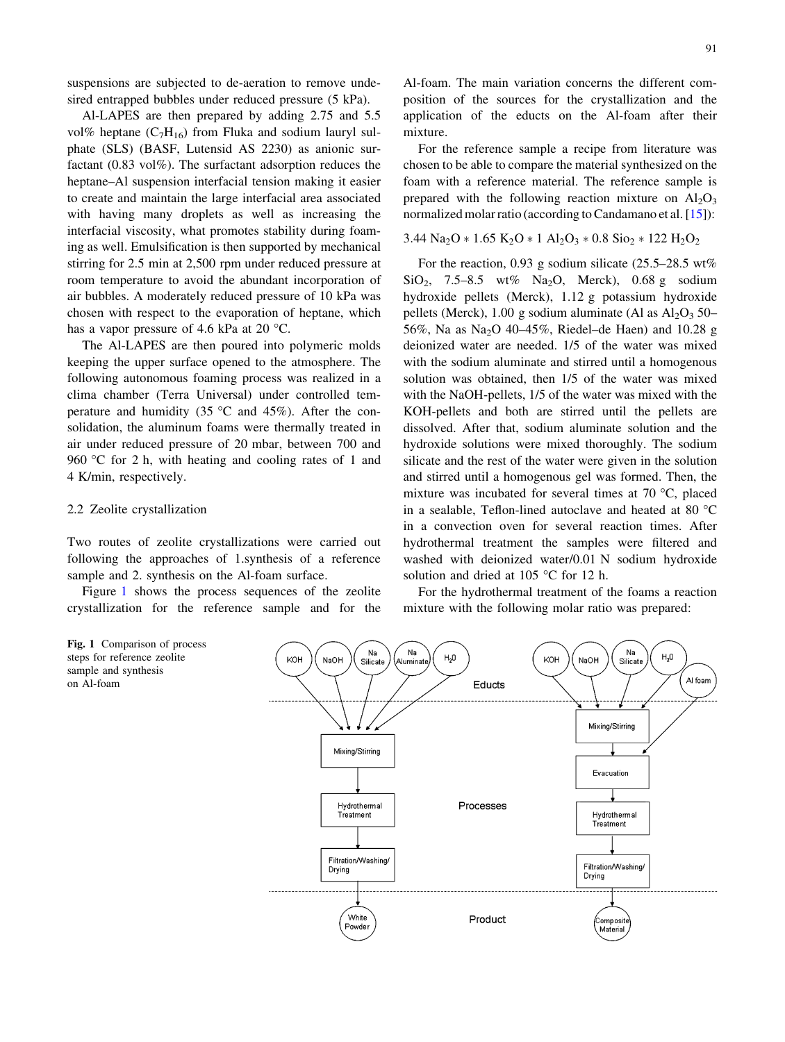suspensions are subjected to de-aeration to remove undesired entrapped bubbles under reduced pressure (5 kPa).

Al-LAPES are then prepared by adding 2.75 and 5.5 vol% heptane  $(C_7H_{16})$  from Fluka and sodium lauryl sulphate (SLS) (BASF, Lutensid AS 2230) as anionic surfactant (0.83 vol%). The surfactant adsorption reduces the heptane–Al suspension interfacial tension making it easier to create and maintain the large interfacial area associated with having many droplets as well as increasing the interfacial viscosity, what promotes stability during foaming as well. Emulsification is then supported by mechanical stirring for 2.5 min at 2,500 rpm under reduced pressure at room temperature to avoid the abundant incorporation of air bubbles. A moderately reduced pressure of 10 kPa was chosen with respect to the evaporation of heptane, which has a vapor pressure of 4.6 kPa at 20  $^{\circ}$ C.

The Al-LAPES are then poured into polymeric molds keeping the upper surface opened to the atmosphere. The following autonomous foaming process was realized in a clima chamber (Terra Universal) under controlled temperature and humidity (35  $\degree$ C and 45%). After the consolidation, the aluminum foams were thermally treated in air under reduced pressure of 20 mbar, between 700 and 960 °C for 2 h, with heating and cooling rates of 1 and 4 K/min, respectively.

#### 2.2 Zeolite crystallization

Two routes of zeolite crystallizations were carried out following the approaches of 1.synthesis of a reference sample and 2. synthesis on the Al-foam surface.

Figure 1 shows the process sequences of the zeolite crystallization for the reference sample and for the

Al-foam. The main variation concerns the different composition of the sources for the crystallization and the application of the educts on the Al-foam after their mixture.

For the reference sample a recipe from literature was chosen to be able to compare the material synthesized on the foam with a reference material. The reference sample is prepared with the following reaction mixture on  $A<sub>1</sub>O<sub>3</sub>$ normalized molar ratio (according to Candamano et al. [\[15](#page-9-0)]):

### $3.44$  Na<sub>2</sub>O  $*$  1.65 K<sub>2</sub>O  $*$  1 Al<sub>2</sub>O<sub>3</sub>  $*$  0.8 Sio<sub>2</sub>  $*$  122 H<sub>2</sub>O<sub>2</sub>

For the reaction, 0.93 g sodium silicate (25.5–28.5 wt%)  $SiO<sub>2</sub>$ , 7.5–8.5 wt% Na<sub>2</sub>O, Merck), 0.68 g sodium hydroxide pellets (Merck), 1.12 g potassium hydroxide pellets (Merck), 1.00 g sodium aluminate (Al as  $Al_2O_3$  50– 56%, Na as Na<sub>2</sub>O 40–45%, Riedel–de Haen) and 10.28 g deionized water are needed. 1/5 of the water was mixed with the sodium aluminate and stirred until a homogenous solution was obtained, then 1/5 of the water was mixed with the NaOH-pellets, 1/5 of the water was mixed with the KOH-pellets and both are stirred until the pellets are dissolved. After that, sodium aluminate solution and the hydroxide solutions were mixed thoroughly. The sodium silicate and the rest of the water were given in the solution and stirred until a homogenous gel was formed. Then, the mixture was incubated for several times at  $70^{\circ}$ C, placed in a sealable, Teflon-lined autoclave and heated at 80 $\degree$ C in a convection oven for several reaction times. After hydrothermal treatment the samples were filtered and washed with deionized water/0.01 N sodium hydroxide solution and dried at 105  $\degree$ C for 12 h.

For the hydrothermal treatment of the foams a reaction mixture with the following molar ratio was prepared:

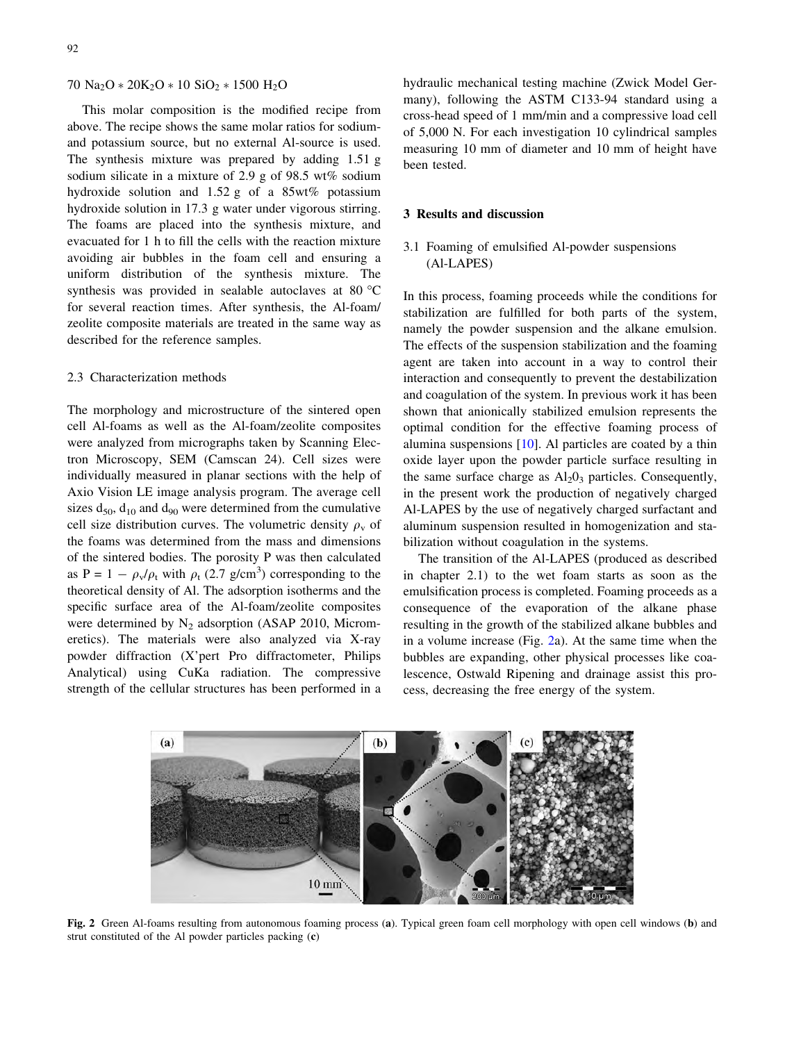<span id="page-3-0"></span> $70$  Na<sub>2</sub>O  $*$  20K<sub>2</sub>O  $*$  10 SiO<sub>2</sub>  $*$  1500 H<sub>2</sub>O

This molar composition is the modified recipe from above. The recipe shows the same molar ratios for sodiumand potassium source, but no external Al-source is used. The synthesis mixture was prepared by adding 1.51 g sodium silicate in a mixture of 2.9 g of 98.5 wt% sodium hydroxide solution and 1.52 g of a 85wt% potassium hydroxide solution in 17.3 g water under vigorous stirring. The foams are placed into the synthesis mixture, and evacuated for 1 h to fill the cells with the reaction mixture avoiding air bubbles in the foam cell and ensuring a uniform distribution of the synthesis mixture. The synthesis was provided in sealable autoclaves at 80  $\degree$ C for several reaction times. After synthesis, the Al-foam/ zeolite composite materials are treated in the same way as described for the reference samples.

#### 2.3 Characterization methods

The morphology and microstructure of the sintered open cell Al-foams as well as the Al-foam/zeolite composites were analyzed from micrographs taken by Scanning Electron Microscopy, SEM (Camscan 24). Cell sizes were individually measured in planar sections with the help of Axio Vision LE image analysis program. The average cell sizes  $d_{50}$ ,  $d_{10}$  and  $d_{90}$  were determined from the cumulative cell size distribution curves. The volumetric density  $\rho_{\rm v}$  of the foams was determined from the mass and dimensions of the sintered bodies. The porosity P was then calculated as P =  $1 - \rho_v/\rho_t$  with  $\rho_t$  (2.7 g/cm<sup>3</sup>) corresponding to the theoretical density of Al. The adsorption isotherms and the specific surface area of the Al-foam/zeolite composites were determined by  $N_2$  adsorption (ASAP 2010, Micromeretics). The materials were also analyzed via X-ray powder diffraction (X'pert Pro diffractometer, Philips Analytical) using CuKa radiation. The compressive strength of the cellular structures has been performed in a

hydraulic mechanical testing machine (Zwick Model Germany), following the ASTM C133-94 standard using a cross-head speed of 1 mm/min and a compressive load cell of 5,000 N. For each investigation 10 cylindrical samples measuring 10 mm of diameter and 10 mm of height have been tested.

#### 3 Results and discussion

## 3.1 Foaming of emulsified Al-powder suspensions (Al-LAPES)

In this process, foaming proceeds while the conditions for stabilization are fulfilled for both parts of the system, namely the powder suspension and the alkane emulsion. The effects of the suspension stabilization and the foaming agent are taken into account in a way to control their interaction and consequently to prevent the destabilization and coagulation of the system. In previous work it has been shown that anionically stabilized emulsion represents the optimal condition for the effective foaming process of alumina suspensions [\[10](#page-9-0)]. Al particles are coated by a thin oxide layer upon the powder particle surface resulting in the same surface charge as  $Al_2O_3$  particles. Consequently, in the present work the production of negatively charged Al-LAPES by the use of negatively charged surfactant and aluminum suspension resulted in homogenization and stabilization without coagulation in the systems.

The transition of the Al-LAPES (produced as described in chapter 2.1) to the wet foam starts as soon as the emulsification process is completed. Foaming proceeds as a consequence of the evaporation of the alkane phase resulting in the growth of the stabilized alkane bubbles and in a volume increase (Fig. 2a). At the same time when the bubbles are expanding, other physical processes like coalescence, Ostwald Ripening and drainage assist this process, decreasing the free energy of the system.



Fig. 2 Green Al-foams resulting from autonomous foaming process (a). Typical green foam cell morphology with open cell windows (b) and strut constituted of the Al powder particles packing (c)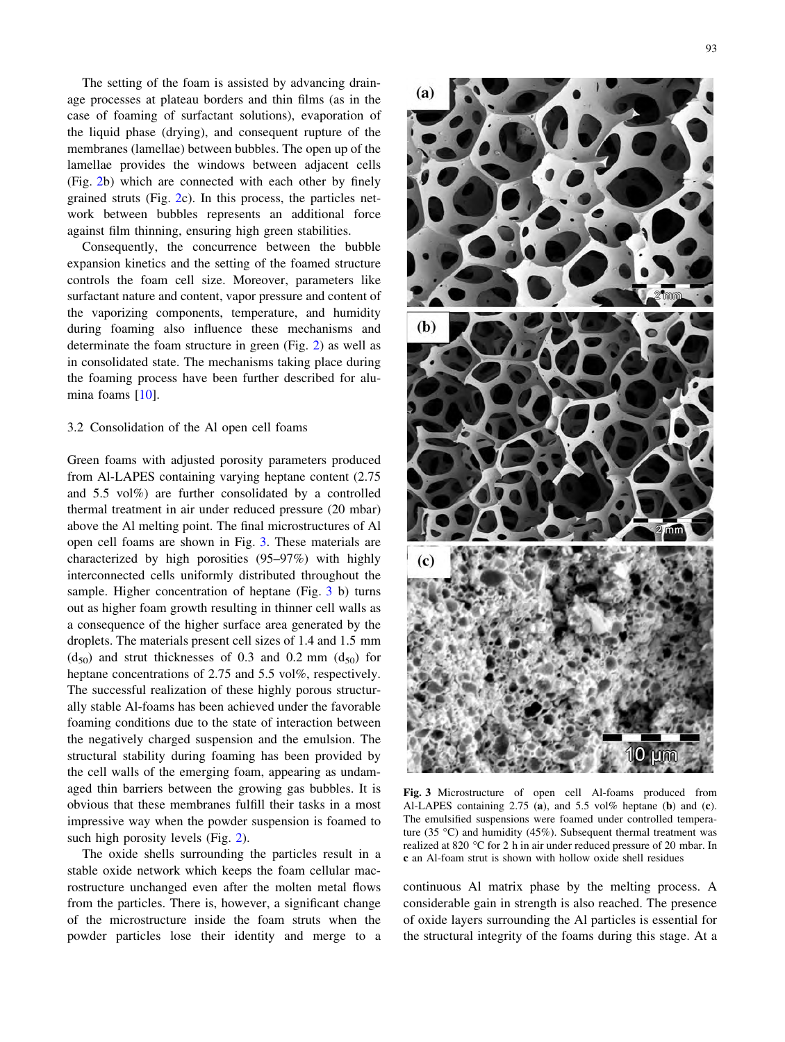<span id="page-4-0"></span>The setting of the foam is assisted by advancing drainage processes at plateau borders and thin films (as in the case of foaming of surfactant solutions), evaporation of the liquid phase (drying), and consequent rupture of the membranes (lamellae) between bubbles. The open up of the lamellae provides the windows between adjacent cells (Fig. [2](#page-3-0)b) which are connected with each other by finely grained struts (Fig. [2](#page-3-0)c). In this process, the particles network between bubbles represents an additional force against film thinning, ensuring high green stabilities.

Consequently, the concurrence between the bubble expansion kinetics and the setting of the foamed structure controls the foam cell size. Moreover, parameters like surfactant nature and content, vapor pressure and content of the vaporizing components, temperature, and humidity during foaming also influence these mechanisms and determinate the foam structure in green (Fig. [2\)](#page-3-0) as well as in consolidated state. The mechanisms taking place during the foaming process have been further described for alumina foams [[10](#page-9-0)].

#### 3.2 Consolidation of the Al open cell foams

Green foams with adjusted porosity parameters produced from Al-LAPES containing varying heptane content (2.75 and 5.5 vol%) are further consolidated by a controlled thermal treatment in air under reduced pressure (20 mbar) above the Al melting point. The final microstructures of Al open cell foams are shown in Fig. 3. These materials are characterized by high porosities (95–97%) with highly interconnected cells uniformly distributed throughout the sample. Higher concentration of heptane (Fig. 3 b) turns out as higher foam growth resulting in thinner cell walls as a consequence of the higher surface area generated by the droplets. The materials present cell sizes of 1.4 and 1.5 mm  $(d_{50})$  and strut thicknesses of 0.3 and 0.2 mm  $(d_{50})$  for heptane concentrations of 2.75 and 5.5 vol%, respectively. The successful realization of these highly porous structurally stable Al-foams has been achieved under the favorable foaming conditions due to the state of interaction between the negatively charged suspension and the emulsion. The structural stability during foaming has been provided by the cell walls of the emerging foam, appearing as undamaged thin barriers between the growing gas bubbles. It is obvious that these membranes fulfill their tasks in a most impressive way when the powder suspension is foamed to such high porosity levels (Fig. [2\)](#page-3-0).

The oxide shells surrounding the particles result in a stable oxide network which keeps the foam cellular macrostructure unchanged even after the molten metal flows from the particles. There is, however, a significant change of the microstructure inside the foam struts when the powder particles lose their identity and merge to a



Fig. 3 Microstructure of open cell Al-foams produced from Al-LAPES containing 2.75 (a), and 5.5 vol% heptane (b) and (c). The emulsified suspensions were foamed under controlled temperature (35 °C) and humidity (45%). Subsequent thermal treatment was realized at 820 °C for 2 h in air under reduced pressure of 20 mbar. In c an Al-foam strut is shown with hollow oxide shell residues

continuous Al matrix phase by the melting process. A considerable gain in strength is also reached. The presence of oxide layers surrounding the Al particles is essential for the structural integrity of the foams during this stage. At a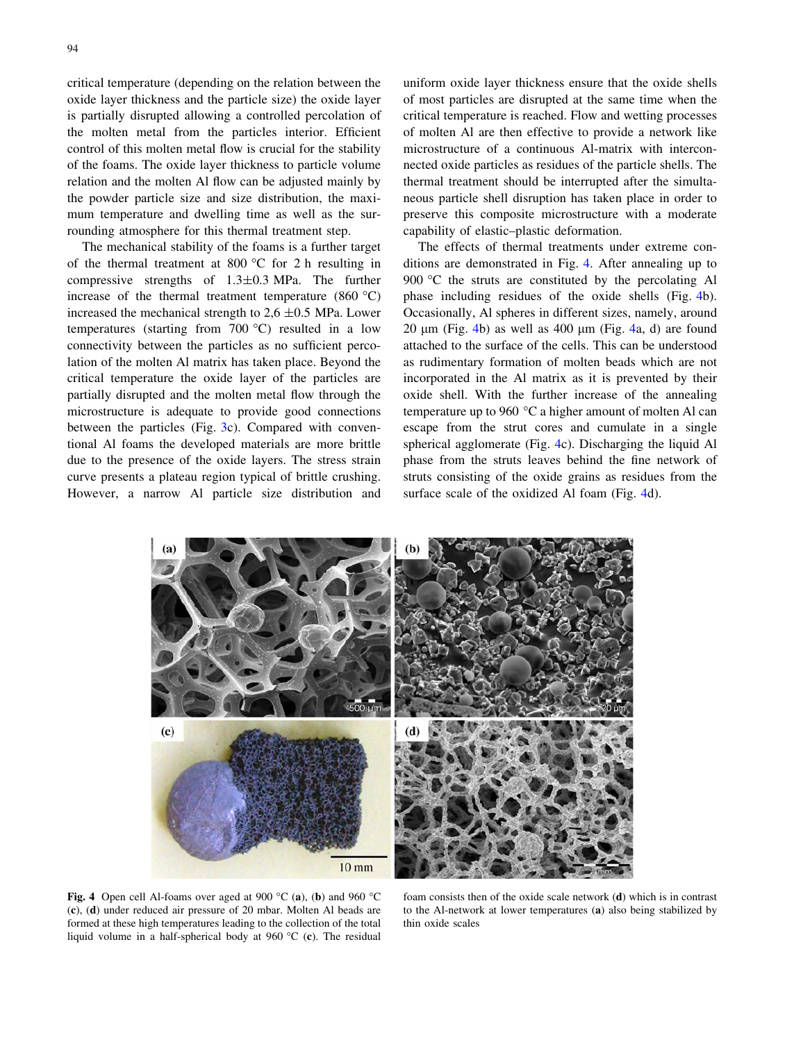critical temperature (depending on the relation between the oxide layer thickness and the particle size) the oxide layer is partially disrupted allowing a controlled percolation of the molten metal from the particles interior. Efficient control of this molten metal flow is crucial for the stability of the foams. The oxide layer thickness to particle volume relation and the molten Al flow can be adjusted mainly by the powder particle size and size distribution, the maximum temperature and dwelling time as well as the surrounding atmosphere for this thermal treatment step.

The mechanical stability of the foams is a further target of the thermal treatment at 800  $^{\circ}$ C for 2 h resulting in compressive strengths of 1.3±0.3 MPa. The further increase of the thermal treatment temperature  $(860 °C)$ increased the mechanical strength to  $2.6 \pm 0.5$  MPa. Lower temperatures (starting from  $700^{\circ}$ C) resulted in a low connectivity between the particles as no sufficient percolation of the molten Al matrix has taken place. Beyond the critical temperature the oxide layer of the particles are partially disrupted and the molten metal flow through the microstructure is adequate to provide good connections between the particles (Fig. [3c](#page-4-0)). Compared with conventional Al foams the developed materials are more brittle due to the presence of the oxide layers. The stress strain curve presents a plateau region typical of brittle crushing. However, a narrow Al particle size distribution and

uniform oxide layer thickness ensure that the oxide shells of most particles are disrupted at the same time when the critical temperature is reached. Flow and wetting processes of molten Al are then effective to provide a network like microstructure of a continuous Al-matrix with interconnected oxide particles as residues of the particle shells. The thermal treatment should be interrupted after the simultaneous particle shell disruption has taken place in order to preserve this composite microstructure with a moderate capability of elastic–plastic deformation.

The effects of thermal treatments under extreme conditions are demonstrated in Fig. 4. After annealing up to 900  $\degree$ C the struts are constituted by the percolating Al phase including residues of the oxide shells (Fig. 4b). Occasionally, Al spheres in different sizes, namely, around 20  $\mu$ m (Fig. 4b) as well as 400  $\mu$ m (Fig. 4a, d) are found attached to the surface of the cells. This can be understood as rudimentary formation of molten beads which are not incorporated in the Al matrix as it is prevented by their oxide shell. With the further increase of the annealing temperature up to 960  $\degree$ C a higher amount of molten Al can escape from the strut cores and cumulate in a single spherical agglomerate (Fig. 4c). Discharging the liquid Al phase from the struts leaves behind the fine network of struts consisting of the oxide grains as residues from the surface scale of the oxidized Al foam (Fig. 4d).



Fig. 4 Open cell Al-foams over aged at 900 °C (a), (b) and 960 °C (c), (d) under reduced air pressure of 20 mbar. Molten Al beads are formed at these high temperatures leading to the collection of the total liquid volume in a half-spherical body at  $960 °C$  (c). The residual

foam consists then of the oxide scale network (d) which is in contrast to the Al-network at lower temperatures (a) also being stabilized by thin oxide scales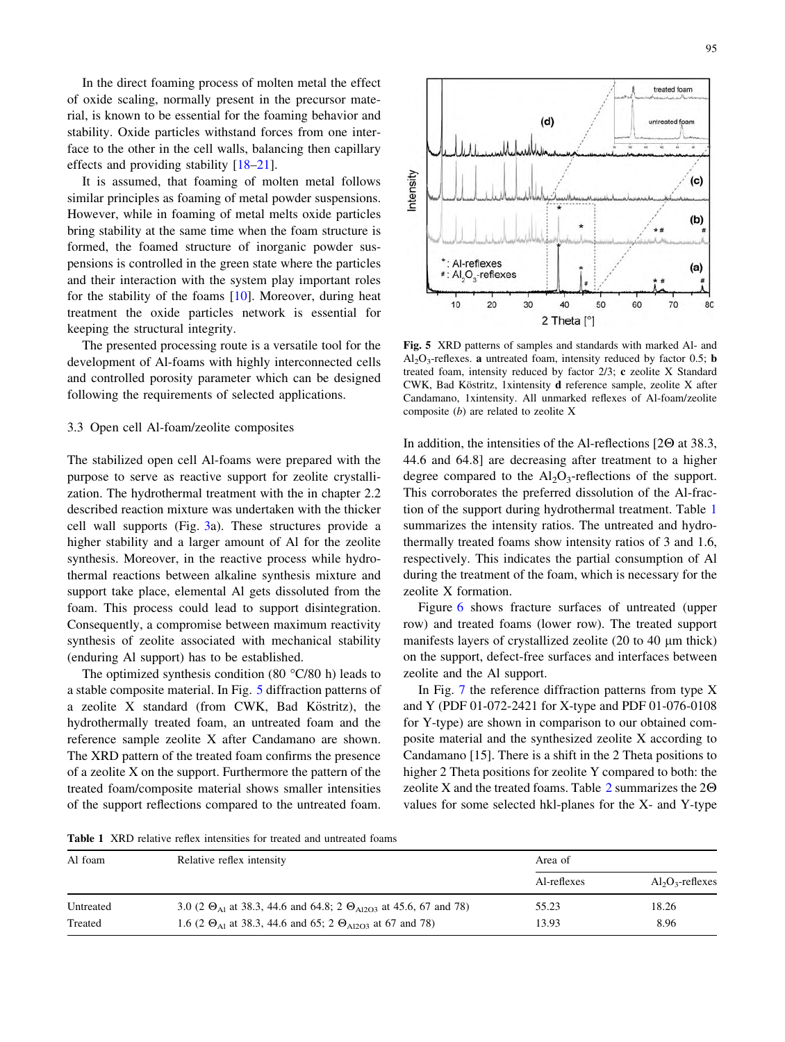In the direct foaming process of molten metal the effect of oxide scaling, normally present in the precursor material, is known to be essential for the foaming behavior and stability. Oxide particles withstand forces from one interface to the other in the cell walls, balancing then capillary effects and providing stability [\[18–21](#page-9-0)].

It is assumed, that foaming of molten metal follows similar principles as foaming of metal powder suspensions. However, while in foaming of metal melts oxide particles bring stability at the same time when the foam structure is formed, the foamed structure of inorganic powder suspensions is controlled in the green state where the particles and their interaction with the system play important roles for the stability of the foams [[10\]](#page-9-0). Moreover, during heat treatment the oxide particles network is essential for keeping the structural integrity.

The presented processing route is a versatile tool for the development of Al-foams with highly interconnected cells and controlled porosity parameter which can be designed following the requirements of selected applications.

#### 3.3 Open cell Al-foam/zeolite composites

The stabilized open cell Al-foams were prepared with the purpose to serve as reactive support for zeolite crystallization. The hydrothermal treatment with the in chapter 2.2 described reaction mixture was undertaken with the thicker cell wall supports (Fig. [3a](#page-4-0)). These structures provide a higher stability and a larger amount of Al for the zeolite synthesis. Moreover, in the reactive process while hydrothermal reactions between alkaline synthesis mixture and support take place, elemental Al gets dissoluted from the foam. This process could lead to support disintegration. Consequently, a compromise between maximum reactivity synthesis of zeolite associated with mechanical stability (enduring Al support) has to be established.

The optimized synthesis condition (80 $\degree$ C/80 h) leads to a stable composite material. In Fig. 5 diffraction patterns of a zeolite X standard (from CWK, Bad Köstritz), the hydrothermally treated foam, an untreated foam and the reference sample zeolite X after Candamano are shown. The XRD pattern of the treated foam confirms the presence of a zeolite X on the support. Furthermore the pattern of the treated foam/composite material shows smaller intensities of the support reflections compared to the untreated foam.



Fig. 5 XRD patterns of samples and standards with marked Al- and  $Al_2O_3$ -reflexes. **a** untreated foam, intensity reduced by factor 0.5; **b** treated foam, intensity reduced by factor 2/3; c zeolite X Standard CWK, Bad Köstritz, 1xintensity d reference sample, zeolite X after Candamano, 1xintensity. All unmarked reflexes of Al-foam/zeolite composite (b) are related to zeolite X

In addition, the intensities of the Al-reflections  $[2\Theta]$  at 38.3, 44.6 and 64.8] are decreasing after treatment to a higher degree compared to the  $Al_2O_3$ -reflections of the support. This corroborates the preferred dissolution of the Al-fraction of the support during hydrothermal treatment. Table 1 summarizes the intensity ratios. The untreated and hydrothermally treated foams show intensity ratios of 3 and 1.6, respectively. This indicates the partial consumption of Al during the treatment of the foam, which is necessary for the zeolite X formation.

Figure [6](#page-7-0) shows fracture surfaces of untreated (upper row) and treated foams (lower row). The treated support manifests layers of crystallized zeolite  $(20 \text{ to } 40 \mu \text{m} \text{ thick})$ on the support, defect-free surfaces and interfaces between zeolite and the Al support.

In Fig. [7](#page-7-0) the reference diffraction patterns from type X and Y (PDF 01-072-2421 for X-type and PDF 01-076-0108 for Y-type) are shown in comparison to our obtained composite material and the synthesized zeolite X according to Candamano [15]. There is a shift in the 2 Theta positions to higher 2 Theta positions for zeolite Y compared to both: the zeolite X and the treated foams. Table [2](#page-8-0) summarizes the  $2\Theta$ values for some selected hkl-planes for the X- and Y-type

Table 1 XRD relative reflex intensities for treated and untreated foams

| Al foam   | Relative reflex intensity                                                           | Area of     |                     |  |
|-----------|-------------------------------------------------------------------------------------|-------------|---------------------|--|
|           |                                                                                     | Al-reflexes | $Al_2O_3$ -reflexes |  |
| Untreated | 3.0 (2 $\Theta_{A1}$ at 38.3, 44.6 and 64.8; 2 $\Theta_{A12O3}$ at 45.6, 67 and 78) | 55.23       | 18.26               |  |
| Treated   | 1.6 (2 $\Theta_{A1}$ at 38.3, 44.6 and 65; 2 $\Theta_{A12O3}$ at 67 and 78)         | 13.93       | 8.96                |  |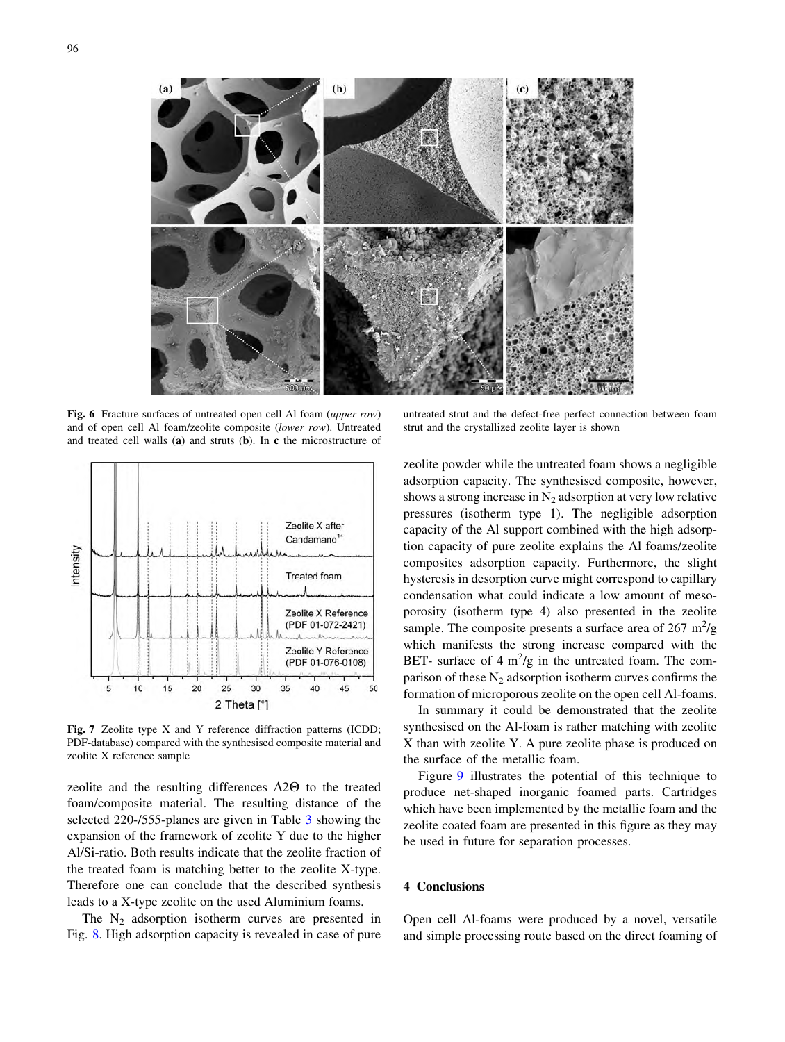<span id="page-7-0"></span>

Fig. 6 Fracture surfaces of untreated open cell Al foam (upper row) and of open cell Al foam/zeolite composite (lower row). Untreated and treated cell walls (a) and struts (b). In c the microstructure of



Fig. 7 Zeolite type X and Y reference diffraction patterns (ICDD; PDF-database) compared with the synthesised composite material and zeolite X reference sample

zeolite and the resulting differences  $\Delta 2\Theta$  to the treated foam/composite material. The resulting distance of the selected 220-/555-planes are given in Table [3](#page-8-0) showing the expansion of the framework of zeolite Y due to the higher Al/Si-ratio. Both results indicate that the zeolite fraction of the treated foam is matching better to the zeolite X-type. Therefore one can conclude that the described synthesis leads to a X-type zeolite on the used Aluminium foams.

The  $N_2$  adsorption isotherm curves are presented in Fig. [8](#page-8-0). High adsorption capacity is revealed in case of pure

untreated strut and the defect-free perfect connection between foam strut and the crystallized zeolite layer is shown

zeolite powder while the untreated foam shows a negligible adsorption capacity. The synthesised composite, however, shows a strong increase in  $N_2$  adsorption at very low relative pressures (isotherm type 1). The negligible adsorption capacity of the Al support combined with the high adsorption capacity of pure zeolite explains the Al foams/zeolite composites adsorption capacity. Furthermore, the slight hysteresis in desorption curve might correspond to capillary condensation what could indicate a low amount of mesoporosity (isotherm type 4) also presented in the zeolite sample. The composite presents a surface area of  $267 \text{ m}^2/\text{g}$ which manifests the strong increase compared with the BET- surface of  $4 \text{ m}^2\text{/g}$  in the untreated foam. The comparison of these  $N_2$  adsorption isotherm curves confirms the formation of microporous zeolite on the open cell Al-foams.

In summary it could be demonstrated that the zeolite synthesised on the Al-foam is rather matching with zeolite X than with zeolite Y. A pure zeolite phase is produced on the surface of the metallic foam.

Figure [9](#page-8-0) illustrates the potential of this technique to produce net-shaped inorganic foamed parts. Cartridges which have been implemented by the metallic foam and the zeolite coated foam are presented in this figure as they may be used in future for separation processes.

### 4 Conclusions

Open cell Al-foams were produced by a novel, versatile and simple processing route based on the direct foaming of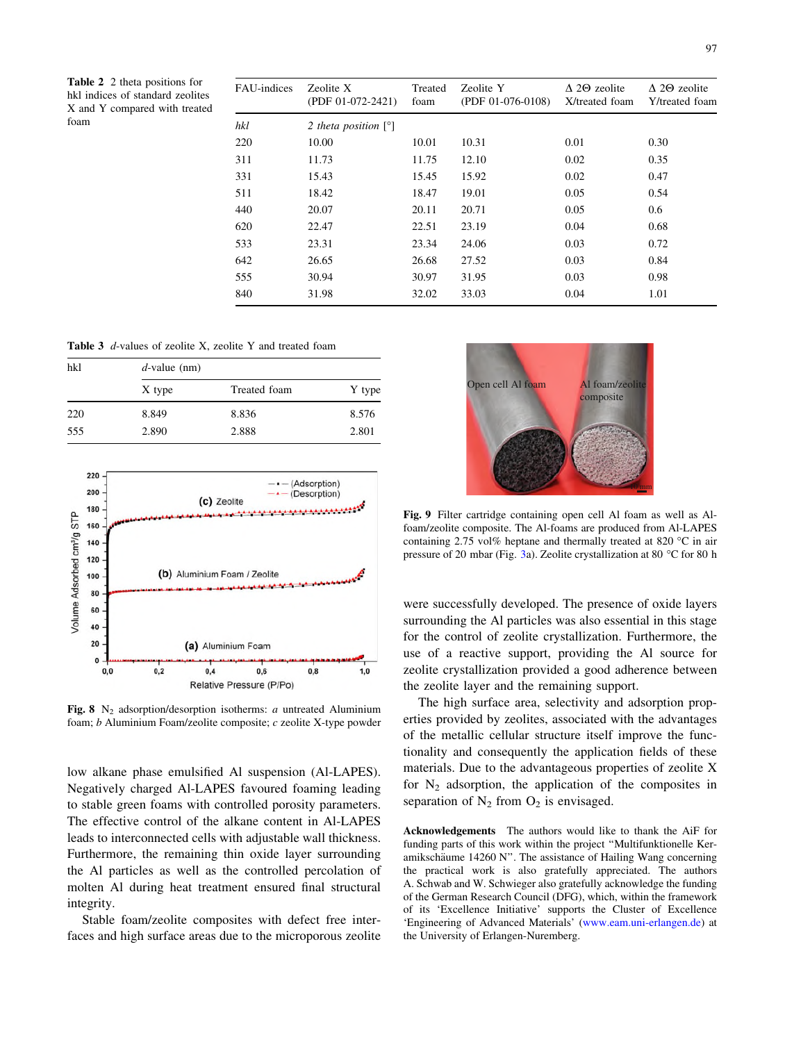<span id="page-8-0"></span>Table 2 2 theta positions for hkl indices of standard zeolites X and Y compared with treated foam

| FAU-indices | Zeolite X<br>(PDF 01-072-2421) | Treated<br>foam | Zeolite Y<br>(PDF 01-076-0108) | $\Lambda$ 2 $\Theta$ zeolite<br>X/treated foam | $\triangle$ 20 zeolite<br>Y/treated foam |
|-------------|--------------------------------|-----------------|--------------------------------|------------------------------------------------|------------------------------------------|
| hkl         | 2 theta position $[°]$         |                 |                                |                                                |                                          |
| 220         | 10.00                          | 10.01           | 10.31                          | 0.01                                           | 0.30                                     |
| 311         | 11.73                          | 11.75           | 12.10                          | 0.02                                           | 0.35                                     |
| 331         | 15.43                          | 15.45           | 15.92                          | 0.02                                           | 0.47                                     |
| 511         | 18.42                          | 18.47           | 19.01                          | 0.05                                           | 0.54                                     |
| 440         | 20.07                          | 20.11           | 20.71                          | 0.05                                           | 0.6                                      |
| 620         | 22.47                          | 22.51           | 23.19                          | 0.04                                           | 0.68                                     |
| 533         | 23.31                          | 23.34           | 24.06                          | 0.03                                           | 0.72                                     |
| 642         | 26.65                          | 26.68           | 27.52                          | 0.03                                           | 0.84                                     |
| 555         | 30.94                          | 30.97           | 31.95                          | 0.03                                           | 0.98                                     |
| 840         | 31.98                          | 32.02           | 33.03                          | 0.04                                           | 1.01                                     |
|             |                                |                 |                                |                                                |                                          |

| <b>Table 3</b> d-values of zeolite X, zeolite Y and treated foam |  |  |  |  |  |
|------------------------------------------------------------------|--|--|--|--|--|
|------------------------------------------------------------------|--|--|--|--|--|

| hkl | $d$ -value (nm) |              |        |  |  |
|-----|-----------------|--------------|--------|--|--|
|     | X type          | Treated foam | Y type |  |  |
| 220 | 8.849           | 8.836        | 8.576  |  |  |
| 555 | 2.890           | 2.888        | 2.801  |  |  |



Fig. 8 N<sub>2</sub> adsorption/desorption isotherms: *a* untreated Aluminium foam; b Aluminium Foam/zeolite composite; c zeolite X-type powder

low alkane phase emulsified Al suspension (Al-LAPES). Negatively charged Al-LAPES favoured foaming leading to stable green foams with controlled porosity parameters. The effective control of the alkane content in Al-LAPES leads to interconnected cells with adjustable wall thickness. Furthermore, the remaining thin oxide layer surrounding the Al particles as well as the controlled percolation of molten Al during heat treatment ensured final structural integrity.

Stable foam/zeolite composites with defect free interfaces and high surface areas due to the microporous zeolite



Fig. 9 Filter cartridge containing open cell Al foam as well as Alfoam/zeolite composite. The Al-foams are produced from Al-LAPES containing 2.75 vol% heptane and thermally treated at 820  $^{\circ}$ C in air pressure of 20 mbar (Fig. [3](#page-4-0)a). Zeolite crystallization at 80  $\degree$ C for 80 h

were successfully developed. The presence of oxide layers surrounding the Al particles was also essential in this stage for the control of zeolite crystallization. Furthermore, the use of a reactive support, providing the Al source for zeolite crystallization provided a good adherence between the zeolite layer and the remaining support.

The high surface area, selectivity and adsorption properties provided by zeolites, associated with the advantages of the metallic cellular structure itself improve the functionality and consequently the application fields of these materials. Due to the advantageous properties of zeolite X for  $N_2$  adsorption, the application of the composites in separation of  $N_2$  from  $O_2$  is envisaged.

Acknowledgements The authors would like to thank the AiF for funding parts of this work within the project ''Multifunktionelle Keramikschäume 14260 N". The assistance of Hailing Wang concerning the practical work is also gratefully appreciated. The authors A. Schwab and W. Schwieger also gratefully acknowledge the funding of the German Research Council (DFG), which, within the framework of its 'Excellence Initiative' supports the Cluster of Excellence 'Engineering of Advanced Materials' [\(www.eam.uni-erlangen.de](http://www.eam.uni-erlangen.de)) at the University of Erlangen-Nuremberg.